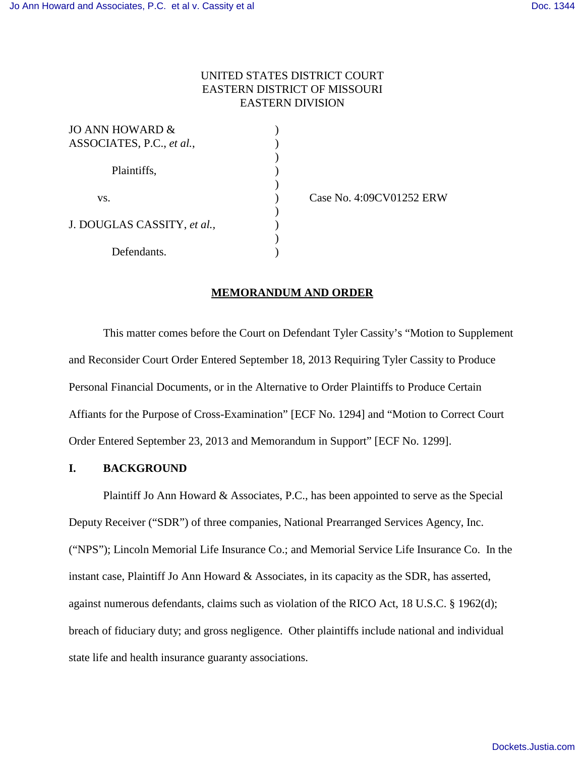# UNITED STATES DISTRICT COURT EASTERN DISTRICT OF MISSOURI EASTERN DIVISION

 $\lambda$ 

 $\mathcal{L}$ 

 $\mathcal{L}$ 

)

| <b>JO ANN HOWARD &amp;</b>  |  |
|-----------------------------|--|
| ASSOCIATES, P.C., et al.,   |  |
|                             |  |
| Plaintiffs,                 |  |
|                             |  |
| VS.                         |  |
|                             |  |
| J. DOUGLAS CASSITY, et al., |  |
|                             |  |
| Defendants.                 |  |

(ase No. 4:09CV01252 ERW)

### **MEMORANDUM AND ORDER**

This matter comes before the Court on Defendant Tyler Cassity's "Motion to Supplement and Reconsider Court Order Entered September 18, 2013 Requiring Tyler Cassity to Produce Personal Financial Documents, or in the Alternative to Order Plaintiffs to Produce Certain Affiants for the Purpose of Cross-Examination" [ECF No. 1294] and "Motion to Correct Court Order Entered September 23, 2013 and Memorandum in Support" [ECF No. 1299].

## **I. BACKGROUND**

Plaintiff Jo Ann Howard & Associates, P.C., has been appointed to serve as the Special Deputy Receiver ("SDR") of three companies, National Prearranged Services Agency, Inc. ("NPS"); Lincoln Memorial Life Insurance Co.; and Memorial Service Life Insurance Co. In the instant case, Plaintiff Jo Ann Howard & Associates, in its capacity as the SDR, has asserted, against numerous defendants, claims such as violation of the RICO Act, 18 U.S.C. § 1962(d); breach of fiduciary duty; and gross negligence. Other plaintiffs include national and individual state life and health insurance guaranty associations.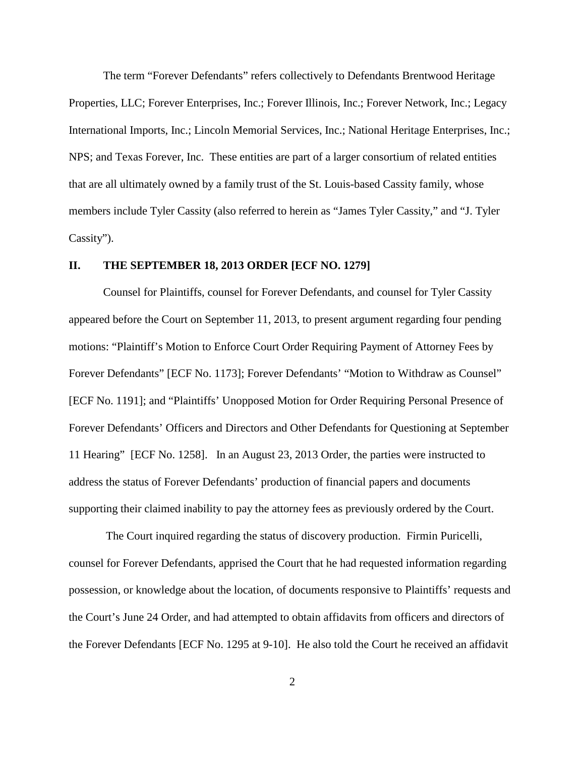The term "Forever Defendants" refers collectively to Defendants Brentwood Heritage Properties, LLC; Forever Enterprises, Inc.; Forever Illinois, Inc.; Forever Network, Inc.; Legacy International Imports, Inc.; Lincoln Memorial Services, Inc.; National Heritage Enterprises, Inc.; NPS; and Texas Forever, Inc. These entities are part of a larger consortium of related entities that are all ultimately owned by a family trust of the St. Louis-based Cassity family, whose members include Tyler Cassity (also referred to herein as "James Tyler Cassity," and "J. Tyler Cassity").

# **II. THE SEPTEMBER 18, 2013 ORDER [ECF NO. 1279]**

Counsel for Plaintiffs, counsel for Forever Defendants, and counsel for Tyler Cassity appeared before the Court on September 11, 2013, to present argument regarding four pending motions: "Plaintiff's Motion to Enforce Court Order Requiring Payment of Attorney Fees by Forever Defendants" [ECF No. 1173]; Forever Defendants' "Motion to Withdraw as Counsel" [ECF No. 1191]; and "Plaintiffs' Unopposed Motion for Order Requiring Personal Presence of Forever Defendants' Officers and Directors and Other Defendants for Questioning at September 11 Hearing" [ECF No. 1258]. In an August 23, 2013 Order, the parties were instructed to address the status of Forever Defendants' production of financial papers and documents supporting their claimed inability to pay the attorney fees as previously ordered by the Court.

 The Court inquired regarding the status of discovery production. Firmin Puricelli, counsel for Forever Defendants, apprised the Court that he had requested information regarding possession, or knowledge about the location, of documents responsive to Plaintiffs' requests and the Court's June 24 Order, and had attempted to obtain affidavits from officers and directors of the Forever Defendants [ECF No. 1295 at 9-10]. He also told the Court he received an affidavit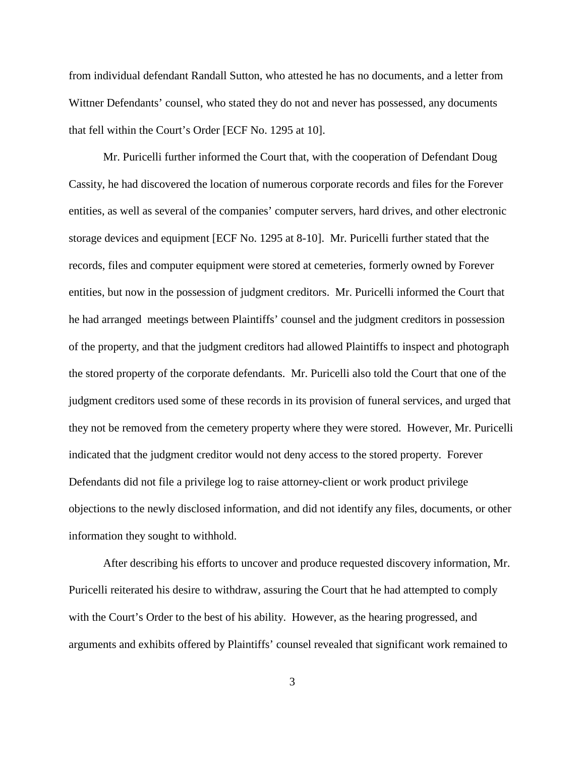from individual defendant Randall Sutton, who attested he has no documents, and a letter from Wittner Defendants' counsel, who stated they do not and never has possessed, any documents that fell within the Court's Order [ECF No. 1295 at 10].

Mr. Puricelli further informed the Court that, with the cooperation of Defendant Doug Cassity, he had discovered the location of numerous corporate records and files for the Forever entities, as well as several of the companies' computer servers, hard drives, and other electronic storage devices and equipment [ECF No. 1295 at 8-10]. Mr. Puricelli further stated that the records, files and computer equipment were stored at cemeteries, formerly owned by Forever entities, but now in the possession of judgment creditors. Mr. Puricelli informed the Court that he had arranged meetings between Plaintiffs' counsel and the judgment creditors in possession of the property, and that the judgment creditors had allowed Plaintiffs to inspect and photograph the stored property of the corporate defendants. Mr. Puricelli also told the Court that one of the judgment creditors used some of these records in its provision of funeral services, and urged that they not be removed from the cemetery property where they were stored. However, Mr. Puricelli indicated that the judgment creditor would not deny access to the stored property. Forever Defendants did not file a privilege log to raise attorney-client or work product privilege objections to the newly disclosed information, and did not identify any files, documents, or other information they sought to withhold.

After describing his efforts to uncover and produce requested discovery information, Mr. Puricelli reiterated his desire to withdraw, assuring the Court that he had attempted to comply with the Court's Order to the best of his ability. However, as the hearing progressed, and arguments and exhibits offered by Plaintiffs' counsel revealed that significant work remained to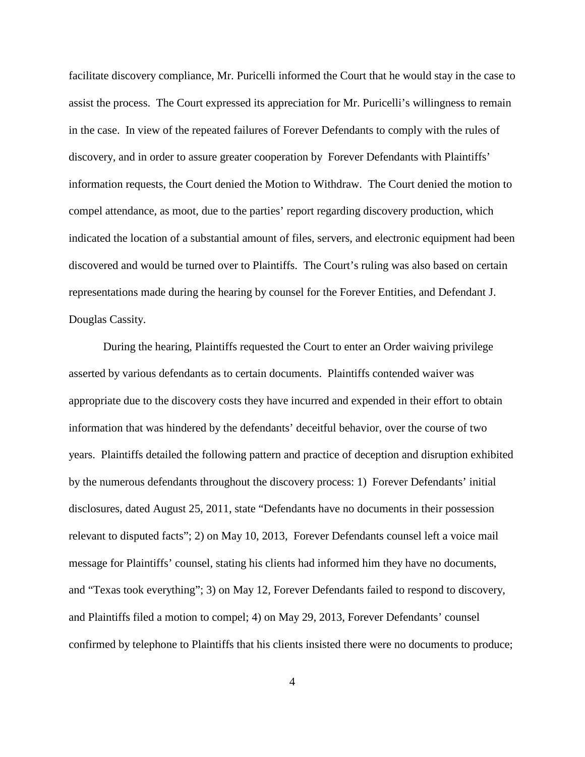facilitate discovery compliance, Mr. Puricelli informed the Court that he would stay in the case to assist the process. The Court expressed its appreciation for Mr. Puricelli's willingness to remain in the case. In view of the repeated failures of Forever Defendants to comply with the rules of discovery, and in order to assure greater cooperation by Forever Defendants with Plaintiffs' information requests, the Court denied the Motion to Withdraw. The Court denied the motion to compel attendance, as moot, due to the parties' report regarding discovery production, which indicated the location of a substantial amount of files, servers, and electronic equipment had been discovered and would be turned over to Plaintiffs. The Court's ruling was also based on certain representations made during the hearing by counsel for the Forever Entities, and Defendant J. Douglas Cassity.

During the hearing, Plaintiffs requested the Court to enter an Order waiving privilege asserted by various defendants as to certain documents. Plaintiffs contended waiver was appropriate due to the discovery costs they have incurred and expended in their effort to obtain information that was hindered by the defendants' deceitful behavior, over the course of two years. Plaintiffs detailed the following pattern and practice of deception and disruption exhibited by the numerous defendants throughout the discovery process: 1) Forever Defendants' initial disclosures, dated August 25, 2011, state "Defendants have no documents in their possession relevant to disputed facts"; 2) on May 10, 2013, Forever Defendants counsel left a voice mail message for Plaintiffs' counsel, stating his clients had informed him they have no documents, and "Texas took everything"; 3) on May 12, Forever Defendants failed to respond to discovery, and Plaintiffs filed a motion to compel; 4) on May 29, 2013, Forever Defendants' counsel confirmed by telephone to Plaintiffs that his clients insisted there were no documents to produce;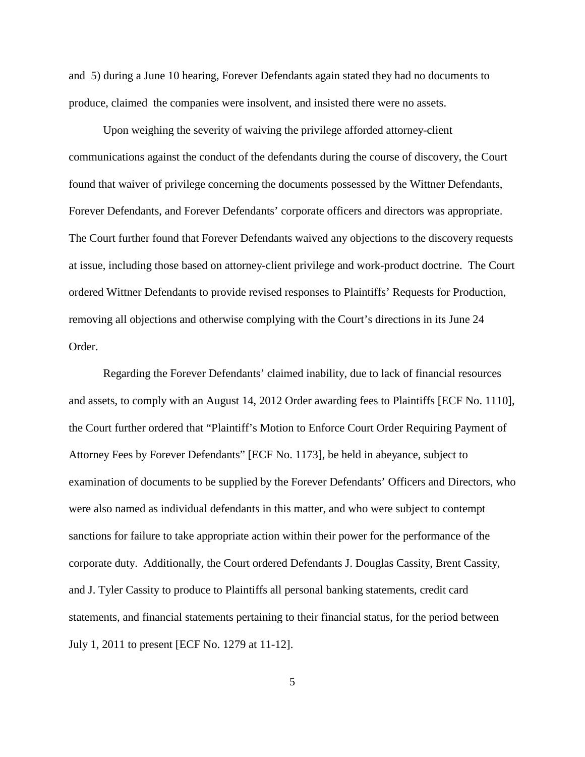and 5) during a June 10 hearing, Forever Defendants again stated they had no documents to produce, claimed the companies were insolvent, and insisted there were no assets.

Upon weighing the severity of waiving the privilege afforded attorney-client communications against the conduct of the defendants during the course of discovery, the Court found that waiver of privilege concerning the documents possessed by the Wittner Defendants, Forever Defendants, and Forever Defendants' corporate officers and directors was appropriate. The Court further found that Forever Defendants waived any objections to the discovery requests at issue, including those based on attorney-client privilege and work-product doctrine. The Court ordered Wittner Defendants to provide revised responses to Plaintiffs' Requests for Production, removing all objections and otherwise complying with the Court's directions in its June 24 Order.

Regarding the Forever Defendants' claimed inability, due to lack of financial resources and assets, to comply with an August 14, 2012 Order awarding fees to Plaintiffs [ECF No. 1110], the Court further ordered that "Plaintiff's Motion to Enforce Court Order Requiring Payment of Attorney Fees by Forever Defendants" [ECF No. 1173], be held in abeyance, subject to examination of documents to be supplied by the Forever Defendants' Officers and Directors, who were also named as individual defendants in this matter, and who were subject to contempt sanctions for failure to take appropriate action within their power for the performance of the corporate duty. Additionally, the Court ordered Defendants J. Douglas Cassity, Brent Cassity, and J. Tyler Cassity to produce to Plaintiffs all personal banking statements, credit card statements, and financial statements pertaining to their financial status, for the period between July 1, 2011 to present [ECF No. 1279 at 11-12].

5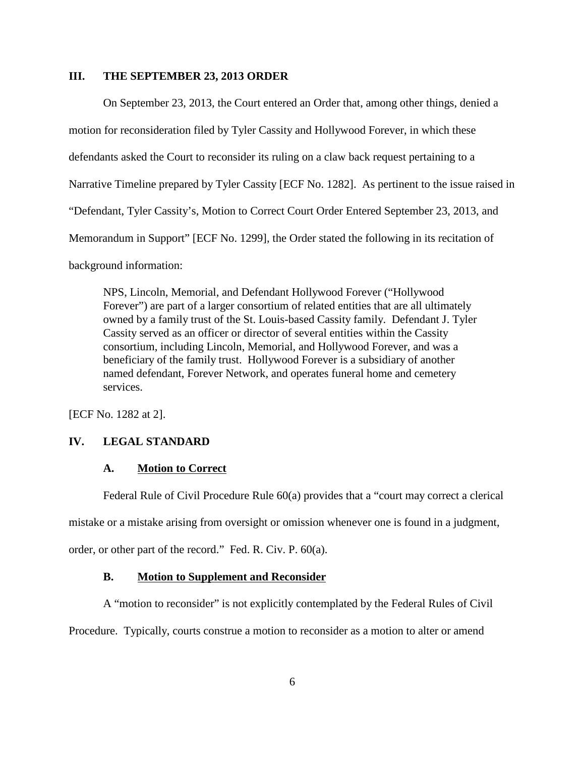## **III. THE SEPTEMBER 23, 2013 ORDER**

On September 23, 2013, the Court entered an Order that, among other things, denied a motion for reconsideration filed by Tyler Cassity and Hollywood Forever, in which these defendants asked the Court to reconsider its ruling on a claw back request pertaining to a Narrative Timeline prepared by Tyler Cassity [ECF No. 1282]. As pertinent to the issue raised in "Defendant, Tyler Cassity's, Motion to Correct Court Order Entered September 23, 2013, and Memorandum in Support" [ECF No. 1299], the Order stated the following in its recitation of background information:

NPS, Lincoln, Memorial, and Defendant Hollywood Forever ("Hollywood Forever") are part of a larger consortium of related entities that are all ultimately owned by a family trust of the St. Louis-based Cassity family. Defendant J. Tyler Cassity served as an officer or director of several entities within the Cassity consortium, including Lincoln, Memorial, and Hollywood Forever, and was a beneficiary of the family trust. Hollywood Forever is a subsidiary of another named defendant, Forever Network, and operates funeral home and cemetery services.

[ECF No. 1282 at 2].

### **IV. LEGAL STANDARD**

# **A. Motion to Correct**

Federal Rule of Civil Procedure Rule 60(a) provides that a "court may correct a clerical mistake or a mistake arising from oversight or omission whenever one is found in a judgment, order, or other part of the record." Fed. R. Civ. P. 60(a).

### **B. Motion to Supplement and Reconsider**

A "motion to reconsider" is not explicitly contemplated by the Federal Rules of Civil

Procedure. Typically, courts construe a motion to reconsider as a motion to alter or amend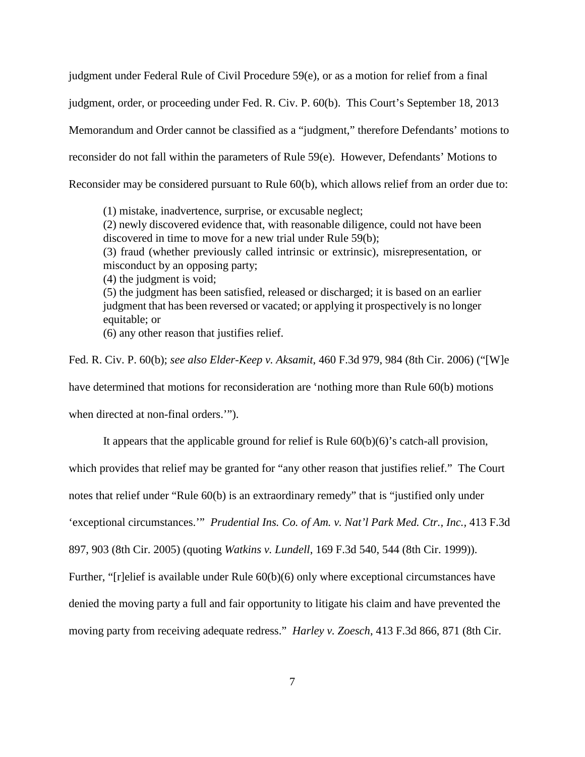judgment under Federal Rule of Civil Procedure 59(e), or as a motion for relief from a final judgment, order, or proceeding under Fed. R. Civ. P. 60(b). This Court's September 18, 2013 Memorandum and Order cannot be classified as a "judgment," therefore Defendants' motions to reconsider do not fall within the parameters of Rule 59(e). However, Defendants' Motions to Reconsider may be considered pursuant to Rule 60(b), which allows relief from an order due to:

(1) mistake, inadvertence, surprise, or excusable neglect; (2) newly discovered evidence that, with reasonable diligence, could not have been discovered in time to move for a new trial under Rule 59(b); (3) fraud (whether previously called intrinsic or extrinsic), misrepresentation, or misconduct by an opposing party; (4) the judgment is void; (5) the judgment has been satisfied, released or discharged; it is based on an earlier judgment that has been reversed or vacated; or applying it prospectively is no longer equitable; or (6) any other reason that justifies relief.

Fed. R. Civ. P. 60(b); *see also Elder-Keep v. Aksamit*, 460 F.3d 979, 984 (8th Cir. 2006) ("[W]e have determined that motions for reconsideration are 'nothing more than Rule 60(b) motions

when directed at non-final orders.'").

It appears that the applicable ground for relief is Rule 60(b)(6)'s catch-all provision,

which provides that relief may be granted for "any other reason that justifies relief." The Court

notes that relief under "Rule 60(b) is an extraordinary remedy" that is "justified only under

'exceptional circumstances.'" *Prudential Ins. Co. of Am. v. Nat'l Park Med. Ctr., Inc.,* 413 F.3d

897, 903 (8th Cir. 2005) (quoting *Watkins v. Lundell*, 169 F.3d 540, 544 (8th Cir. 1999)).

Further, "[r]elief is available under Rule  $60(b)(6)$  only where exceptional circumstances have

denied the moving party a full and fair opportunity to litigate his claim and have prevented the

moving party from receiving adequate redress." *Harley v. Zoesch*, 413 F.3d 866, 871 (8th Cir.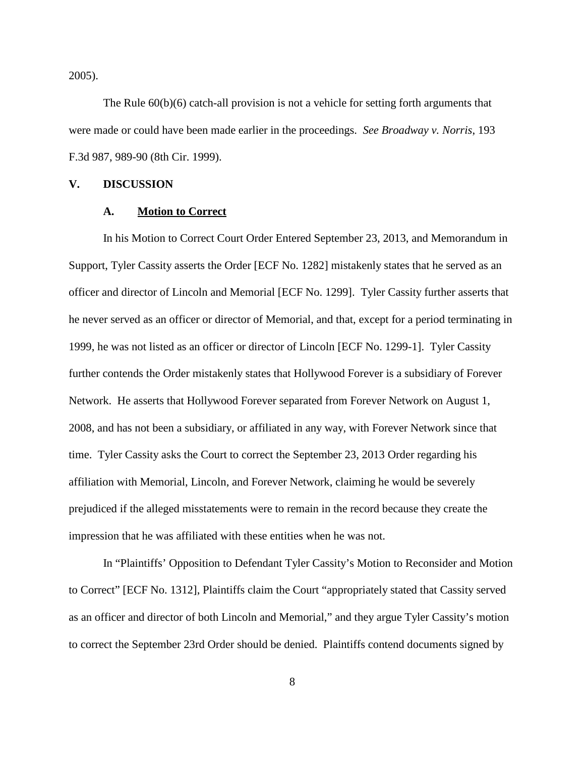2005).

The Rule  $60(b)(6)$  catch-all provision is not a vehicle for setting forth arguments that were made or could have been made earlier in the proceedings. *See Broadway v. Norris*, 193 F.3d 987, 989-90 (8th Cir. 1999).

#### **V. DISCUSSION**

#### **A. Motion to Correct**

In his Motion to Correct Court Order Entered September 23, 2013, and Memorandum in Support, Tyler Cassity asserts the Order [ECF No. 1282] mistakenly states that he served as an officer and director of Lincoln and Memorial [ECF No. 1299]. Tyler Cassity further asserts that he never served as an officer or director of Memorial, and that, except for a period terminating in 1999, he was not listed as an officer or director of Lincoln [ECF No. 1299-1]. Tyler Cassity further contends the Order mistakenly states that Hollywood Forever is a subsidiary of Forever Network. He asserts that Hollywood Forever separated from Forever Network on August 1, 2008, and has not been a subsidiary, or affiliated in any way, with Forever Network since that time. Tyler Cassity asks the Court to correct the September 23, 2013 Order regarding his affiliation with Memorial, Lincoln, and Forever Network, claiming he would be severely prejudiced if the alleged misstatements were to remain in the record because they create the impression that he was affiliated with these entities when he was not.

In "Plaintiffs' Opposition to Defendant Tyler Cassity's Motion to Reconsider and Motion to Correct" [ECF No. 1312], Plaintiffs claim the Court "appropriately stated that Cassity served as an officer and director of both Lincoln and Memorial," and they argue Tyler Cassity's motion to correct the September 23rd Order should be denied. Plaintiffs contend documents signed by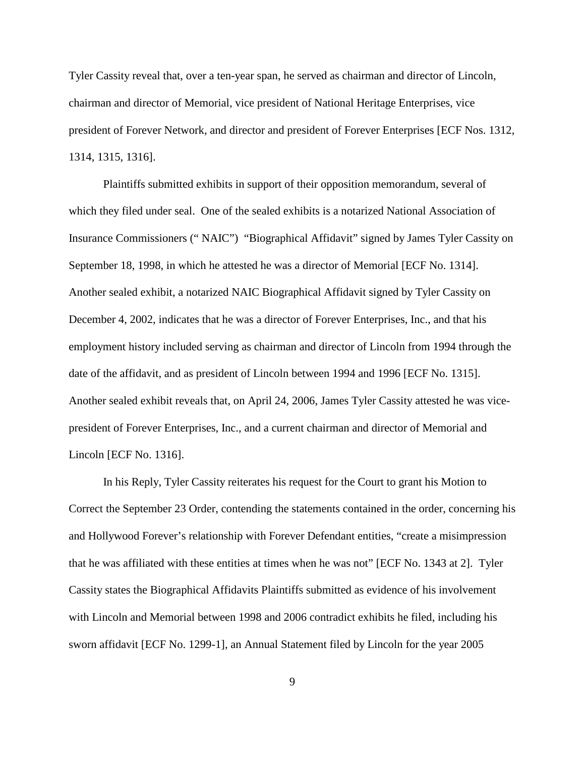Tyler Cassity reveal that, over a ten-year span, he served as chairman and director of Lincoln, chairman and director of Memorial, vice president of National Heritage Enterprises, vice president of Forever Network, and director and president of Forever Enterprises [ECF Nos. 1312, 1314, 1315, 1316].

Plaintiffs submitted exhibits in support of their opposition memorandum, several of which they filed under seal. One of the sealed exhibits is a notarized National Association of Insurance Commissioners (" NAIC") "Biographical Affidavit" signed by James Tyler Cassity on September 18, 1998, in which he attested he was a director of Memorial [ECF No. 1314]. Another sealed exhibit, a notarized NAIC Biographical Affidavit signed by Tyler Cassity on December 4, 2002, indicates that he was a director of Forever Enterprises, Inc., and that his employment history included serving as chairman and director of Lincoln from 1994 through the date of the affidavit, and as president of Lincoln between 1994 and 1996 [ECF No. 1315]. Another sealed exhibit reveals that, on April 24, 2006, James Tyler Cassity attested he was vicepresident of Forever Enterprises, Inc., and a current chairman and director of Memorial and Lincoln [ECF No. 1316].

In his Reply, Tyler Cassity reiterates his request for the Court to grant his Motion to Correct the September 23 Order, contending the statements contained in the order, concerning his and Hollywood Forever's relationship with Forever Defendant entities, "create a misimpression that he was affiliated with these entities at times when he was not" [ECF No. 1343 at 2]. Tyler Cassity states the Biographical Affidavits Plaintiffs submitted as evidence of his involvement with Lincoln and Memorial between 1998 and 2006 contradict exhibits he filed, including his sworn affidavit [ECF No. 1299-1], an Annual Statement filed by Lincoln for the year 2005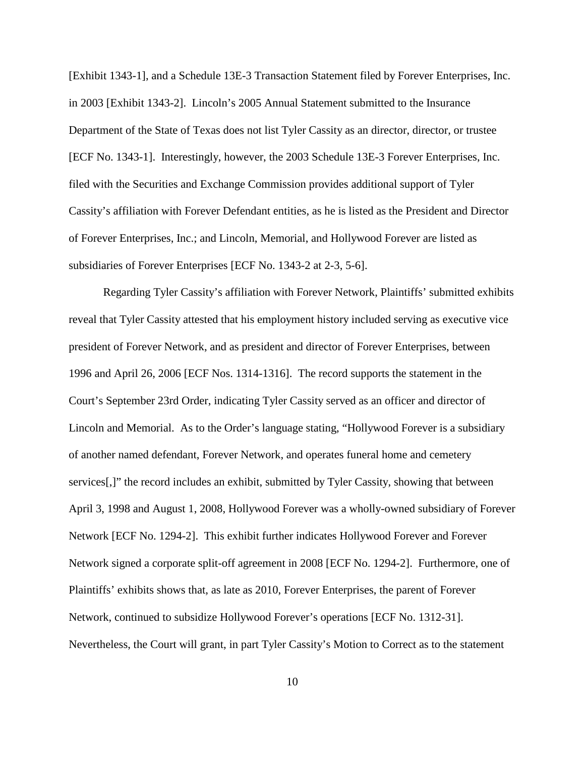[Exhibit 1343-1], and a Schedule 13E-3 Transaction Statement filed by Forever Enterprises, Inc. in 2003 [Exhibit 1343-2]. Lincoln's 2005 Annual Statement submitted to the Insurance Department of the State of Texas does not list Tyler Cassity as an director, director, or trustee [ECF No. 1343-1]. Interestingly, however, the 2003 Schedule 13E-3 Forever Enterprises, Inc. filed with the Securities and Exchange Commission provides additional support of Tyler Cassity's affiliation with Forever Defendant entities, as he is listed as the President and Director of Forever Enterprises, Inc.; and Lincoln, Memorial, and Hollywood Forever are listed as subsidiaries of Forever Enterprises [ECF No. 1343-2 at 2-3, 5-6].

Regarding Tyler Cassity's affiliation with Forever Network, Plaintiffs' submitted exhibits reveal that Tyler Cassity attested that his employment history included serving as executive vice president of Forever Network, and as president and director of Forever Enterprises, between 1996 and April 26, 2006 [ECF Nos. 1314-1316]. The record supports the statement in the Court's September 23rd Order, indicating Tyler Cassity served as an officer and director of Lincoln and Memorial. As to the Order's language stating, "Hollywood Forever is a subsidiary of another named defendant, Forever Network, and operates funeral home and cemetery services[,]" the record includes an exhibit, submitted by Tyler Cassity, showing that between April 3, 1998 and August 1, 2008, Hollywood Forever was a wholly-owned subsidiary of Forever Network [ECF No. 1294-2]. This exhibit further indicates Hollywood Forever and Forever Network signed a corporate split-off agreement in 2008 [ECF No. 1294-2]. Furthermore, one of Plaintiffs' exhibits shows that, as late as 2010, Forever Enterprises, the parent of Forever Network, continued to subsidize Hollywood Forever's operations [ECF No. 1312-31]. Nevertheless, the Court will grant, in part Tyler Cassity's Motion to Correct as to the statement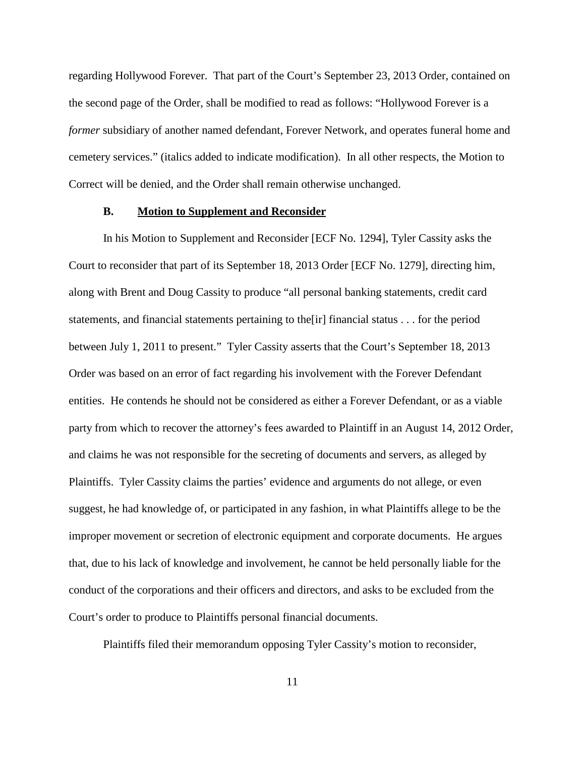regarding Hollywood Forever. That part of the Court's September 23, 2013 Order, contained on the second page of the Order, shall be modified to read as follows: "Hollywood Forever is a *former* subsidiary of another named defendant, Forever Network, and operates funeral home and cemetery services." (italics added to indicate modification). In all other respects, the Motion to Correct will be denied, and the Order shall remain otherwise unchanged.

## **B. Motion to Supplement and Reconsider**

In his Motion to Supplement and Reconsider [ECF No. 1294], Tyler Cassity asks the Court to reconsider that part of its September 18, 2013 Order [ECF No. 1279], directing him, along with Brent and Doug Cassity to produce "all personal banking statements, credit card statements, and financial statements pertaining to the[ir] financial status . . . for the period between July 1, 2011 to present." Tyler Cassity asserts that the Court's September 18, 2013 Order was based on an error of fact regarding his involvement with the Forever Defendant entities. He contends he should not be considered as either a Forever Defendant, or as a viable party from which to recover the attorney's fees awarded to Plaintiff in an August 14, 2012 Order, and claims he was not responsible for the secreting of documents and servers, as alleged by Plaintiffs. Tyler Cassity claims the parties' evidence and arguments do not allege, or even suggest, he had knowledge of, or participated in any fashion, in what Plaintiffs allege to be the improper movement or secretion of electronic equipment and corporate documents. He argues that, due to his lack of knowledge and involvement, he cannot be held personally liable for the conduct of the corporations and their officers and directors, and asks to be excluded from the Court's order to produce to Plaintiffs personal financial documents.

Plaintiffs filed their memorandum opposing Tyler Cassity's motion to reconsider,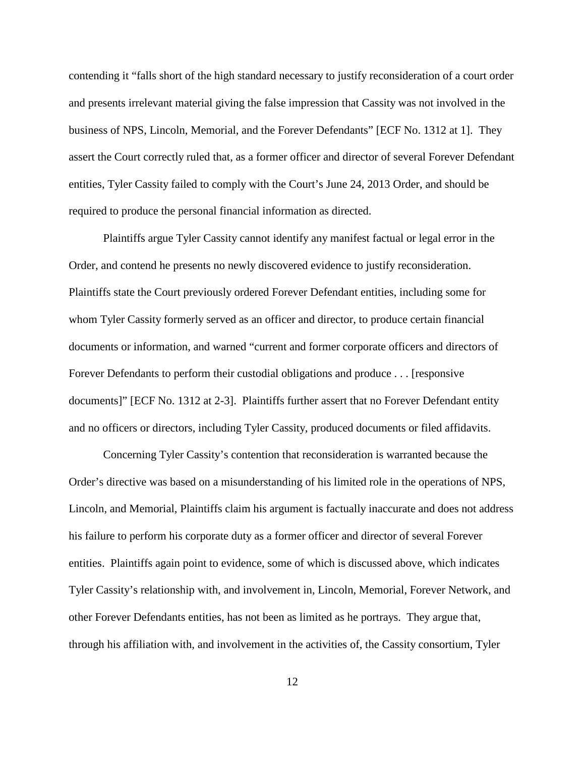contending it "falls short of the high standard necessary to justify reconsideration of a court order and presents irrelevant material giving the false impression that Cassity was not involved in the business of NPS, Lincoln, Memorial, and the Forever Defendants" [ECF No. 1312 at 1]. They assert the Court correctly ruled that, as a former officer and director of several Forever Defendant entities, Tyler Cassity failed to comply with the Court's June 24, 2013 Order, and should be required to produce the personal financial information as directed.

Plaintiffs argue Tyler Cassity cannot identify any manifest factual or legal error in the Order, and contend he presents no newly discovered evidence to justify reconsideration. Plaintiffs state the Court previously ordered Forever Defendant entities, including some for whom Tyler Cassity formerly served as an officer and director, to produce certain financial documents or information, and warned "current and former corporate officers and directors of Forever Defendants to perform their custodial obligations and produce . . . [responsive documents]" [ECF No. 1312 at 2-3]. Plaintiffs further assert that no Forever Defendant entity and no officers or directors, including Tyler Cassity, produced documents or filed affidavits.

Concerning Tyler Cassity's contention that reconsideration is warranted because the Order's directive was based on a misunderstanding of his limited role in the operations of NPS, Lincoln, and Memorial, Plaintiffs claim his argument is factually inaccurate and does not address his failure to perform his corporate duty as a former officer and director of several Forever entities. Plaintiffs again point to evidence, some of which is discussed above, which indicates Tyler Cassity's relationship with, and involvement in, Lincoln, Memorial, Forever Network, and other Forever Defendants entities, has not been as limited as he portrays. They argue that, through his affiliation with, and involvement in the activities of, the Cassity consortium, Tyler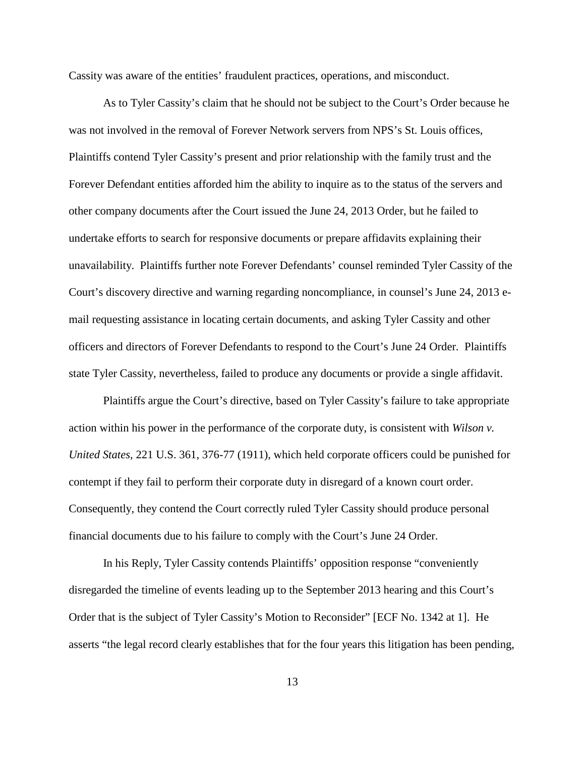Cassity was aware of the entities' fraudulent practices, operations, and misconduct.

As to Tyler Cassity's claim that he should not be subject to the Court's Order because he was not involved in the removal of Forever Network servers from NPS's St. Louis offices, Plaintiffs contend Tyler Cassity's present and prior relationship with the family trust and the Forever Defendant entities afforded him the ability to inquire as to the status of the servers and other company documents after the Court issued the June 24, 2013 Order, but he failed to undertake efforts to search for responsive documents or prepare affidavits explaining their unavailability. Plaintiffs further note Forever Defendants' counsel reminded Tyler Cassity of the Court's discovery directive and warning regarding noncompliance, in counsel's June 24, 2013 email requesting assistance in locating certain documents, and asking Tyler Cassity and other officers and directors of Forever Defendants to respond to the Court's June 24 Order. Plaintiffs state Tyler Cassity, nevertheless, failed to produce any documents or provide a single affidavit.

Plaintiffs argue the Court's directive, based on Tyler Cassity's failure to take appropriate action within his power in the performance of the corporate duty, is consistent with *Wilson v. United States*, 221 U.S. 361, 376-77 (1911), which held corporate officers could be punished for contempt if they fail to perform their corporate duty in disregard of a known court order. Consequently, they contend the Court correctly ruled Tyler Cassity should produce personal financial documents due to his failure to comply with the Court's June 24 Order.

In his Reply, Tyler Cassity contends Plaintiffs' opposition response "conveniently disregarded the timeline of events leading up to the September 2013 hearing and this Court's Order that is the subject of Tyler Cassity's Motion to Reconsider" [ECF No. 1342 at 1]. He asserts "the legal record clearly establishes that for the four years this litigation has been pending,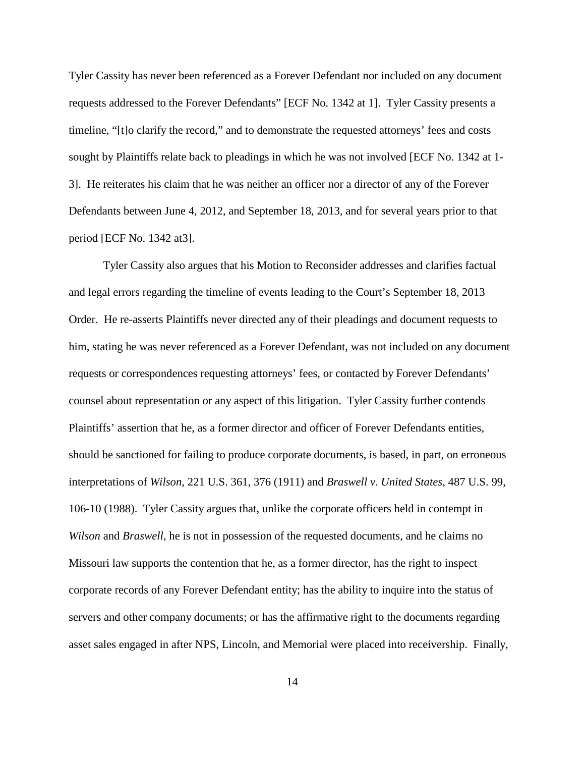Tyler Cassity has never been referenced as a Forever Defendant nor included on any document requests addressed to the Forever Defendants" [ECF No. 1342 at 1]. Tyler Cassity presents a timeline, "[t]o clarify the record," and to demonstrate the requested attorneys' fees and costs sought by Plaintiffs relate back to pleadings in which he was not involved [ECF No. 1342 at 1- 3]. He reiterates his claim that he was neither an officer nor a director of any of the Forever Defendants between June 4, 2012, and September 18, 2013, and for several years prior to that period [ECF No. 1342 at3].

Tyler Cassity also argues that his Motion to Reconsider addresses and clarifies factual and legal errors regarding the timeline of events leading to the Court's September 18, 2013 Order. He re-asserts Plaintiffs never directed any of their pleadings and document requests to him, stating he was never referenced as a Forever Defendant, was not included on any document requests or correspondences requesting attorneys' fees, or contacted by Forever Defendants' counsel about representation or any aspect of this litigation. Tyler Cassity further contends Plaintiffs' assertion that he, as a former director and officer of Forever Defendants entities, should be sanctioned for failing to produce corporate documents, is based, in part, on erroneous interpretations of *Wilson*, 221 U.S. 361, 376 (1911) and *Braswell v. United States*, 487 U.S. 99, 106-10 (1988). Tyler Cassity argues that, unlike the corporate officers held in contempt in *Wilson* and *Braswell*, he is not in possession of the requested documents, and he claims no Missouri law supports the contention that he, as a former director, has the right to inspect corporate records of any Forever Defendant entity; has the ability to inquire into the status of servers and other company documents; or has the affirmative right to the documents regarding asset sales engaged in after NPS, Lincoln, and Memorial were placed into receivership. Finally,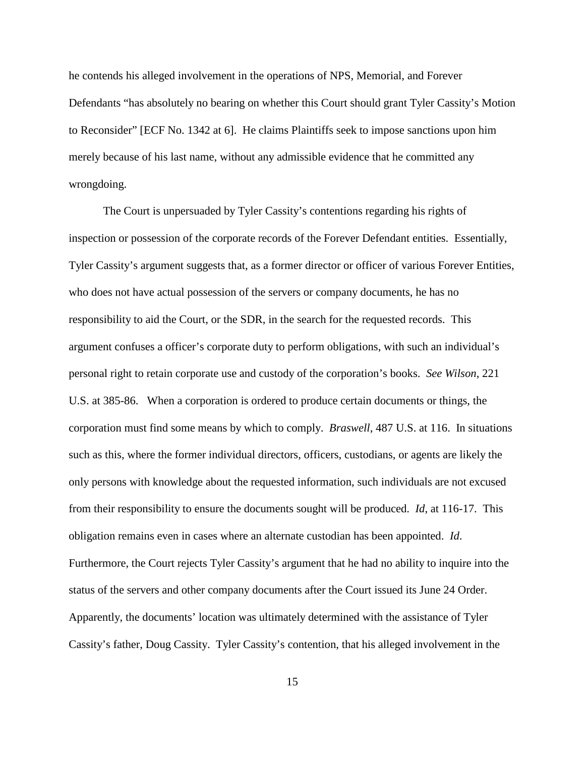he contends his alleged involvement in the operations of NPS, Memorial, and Forever Defendants "has absolutely no bearing on whether this Court should grant Tyler Cassity's Motion to Reconsider" [ECF No. 1342 at 6]. He claims Plaintiffs seek to impose sanctions upon him merely because of his last name, without any admissible evidence that he committed any wrongdoing.

The Court is unpersuaded by Tyler Cassity's contentions regarding his rights of inspection or possession of the corporate records of the Forever Defendant entities. Essentially, Tyler Cassity's argument suggests that, as a former director or officer of various Forever Entities, who does not have actual possession of the servers or company documents, he has no responsibility to aid the Court, or the SDR, in the search for the requested records. This argument confuses a officer's corporate duty to perform obligations, with such an individual's personal right to retain corporate use and custody of the corporation's books. *See Wilson*, 221 U.S. at 385-86. When a corporation is ordered to produce certain documents or things, the corporation must find some means by which to comply. *Braswell*, 487 U.S. at 116. In situations such as this, where the former individual directors, officers, custodians, or agents are likely the only persons with knowledge about the requested information, such individuals are not excused from their responsibility to ensure the documents sought will be produced. *Id*, at 116-17. This obligation remains even in cases where an alternate custodian has been appointed. *Id*. Furthermore, the Court rejects Tyler Cassity's argument that he had no ability to inquire into the status of the servers and other company documents after the Court issued its June 24 Order. Apparently, the documents' location was ultimately determined with the assistance of Tyler Cassity's father, Doug Cassity. Tyler Cassity's contention, that his alleged involvement in the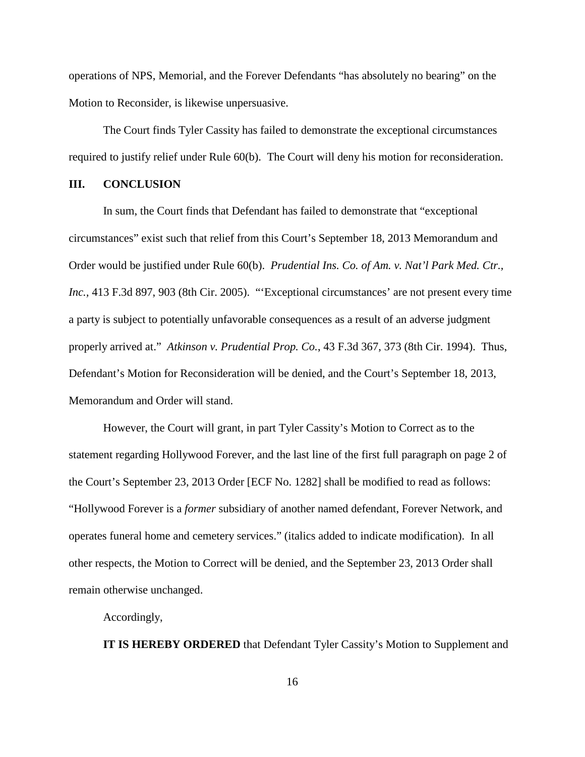operations of NPS, Memorial, and the Forever Defendants "has absolutely no bearing" on the Motion to Reconsider, is likewise unpersuasive.

The Court finds Tyler Cassity has failed to demonstrate the exceptional circumstances required to justify relief under Rule 60(b). The Court will deny his motion for reconsideration.

## **III. CONCLUSION**

In sum, the Court finds that Defendant has failed to demonstrate that "exceptional circumstances" exist such that relief from this Court's September 18, 2013 Memorandum and Order would be justified under Rule 60(b). *Prudential Ins. Co. of Am. v. Nat'l Park Med. Ctr., Inc.,* 413 F.3d 897, 903 (8th Cir. 2005). "'Exceptional circumstances' are not present every time a party is subject to potentially unfavorable consequences as a result of an adverse judgment properly arrived at." *Atkinson v. Prudential Prop. Co.*, 43 F.3d 367, 373 (8th Cir. 1994). Thus, Defendant's Motion for Reconsideration will be denied, and the Court's September 18, 2013, Memorandum and Order will stand.

However, the Court will grant, in part Tyler Cassity's Motion to Correct as to the statement regarding Hollywood Forever, and the last line of the first full paragraph on page 2 of the Court's September 23, 2013 Order [ECF No. 1282] shall be modified to read as follows: "Hollywood Forever is a *former* subsidiary of another named defendant, Forever Network, and operates funeral home and cemetery services." (italics added to indicate modification). In all other respects, the Motion to Correct will be denied, and the September 23, 2013 Order shall remain otherwise unchanged.

Accordingly,

**IT IS HEREBY ORDERED** that Defendant Tyler Cassity's Motion to Supplement and